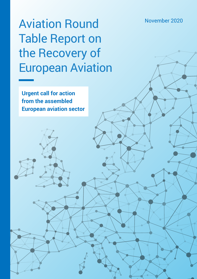# Aviation Round November 2020 Table Report on the Recovery of European Aviation

**Urgent call for action from the assembled European aviation sector**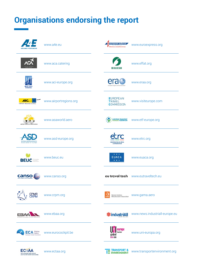# **Organisations endorsing the report**

| <b>AIRLINES FOR FUROPE</b>                                             | www.a4e.eu             | european express<br>Delivering a competitive Euro     | www.euroexpress.org                |
|------------------------------------------------------------------------|------------------------|-------------------------------------------------------|------------------------------------|
|                                                                        | www.aca.catering       | FFFAT                                                 | www.effat.org                      |
| <b>AIRPORTS COUNCI</b><br><b>INTERNATIONAL</b>                         | www.aci-europe.org     |                                                       | www.eraa.org                       |
| <b>ARC</b><br>AIRPORT REGIONS COUNCIL                                  | www.airportregions.org | <b>EUROPEAN</b><br><b>TRAVEL</b><br><b>COMMISSION</b> | www.visiteurope.com                |
| AIRPORT SERVICES ASSOCIATION                                           | www.asaworld.aero      | <b>EUROPEAN TRANSPORT</b><br>WORKERS' FEDERATION      | www.etf-europe.org                 |
| <b>AeroSpace and Defence Industrie</b><br><b>Association of Europe</b> | www.asd-europe.org     | <b>EUROPEAN TRAVEL RETAIL</b><br>CONFEDERATION        | www.etrc.org                       |
| <b>BEUC Construction</b>                                               | www.beuc.eu            | * * *<br><b>EUACA</b><br>* * *                        | www.euaca.org                      |
| canso                                                                  | www.canso.org          |                                                       | eu travel tech www.eutraveltech.eu |
| CPMR<br>CRPM                                                           | www.crpm.org           | General Aviation<br>Manufacturers Association         | www.gama.aero                      |
|                                                                        | www.ebaa.org           | <b>养industriAll</b>                                   | www.news.industriall-europe.eu     |
| <b>ECA</b> <i>Safety</i><br><b>European Cockpit Associa</b>            | www.eurocockpit.be     | europa<br>tourism<br>global<br>union                  | www.uni-europa.org                 |
| ЕСТА<br>THE EUROPEAN TRAVEL AGENTS                                     | www.ectaa.org          | <b>TRANSPORT &amp;</b><br>ENVIRONMENT                 | www.transportenvironment.org       |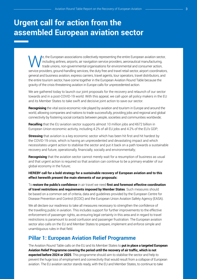## **Urgent call for action from the assembled European aviation sector**

We, the European associations collectively representing the entire European aviation sector,<br>including airlines, airports, air navigation service providers, aeronautical manufacturing,<br>trade unions, non-governmental organi including airlines, airports, air navigation service providers, aeronautical manufacturing, trade unions, non-governmental organisations for environmental and consumer action, service providers, ground-handling services, the duty free and travel retail sector, airport coordinators, general and business aviation, express carriers, travel agents, tour operators, travel distributors, and the entire tourism sector, have come together in the European Aviation Round Table because the gravity of the crisis threatening aviation in Europe calls for unprecedented action.

We are gathered today to launch our joint proposals for the recovery and relaunch of our sector towards and in a post-COVID-19 world. With this appeal, we call upon all policy makers in the EU and its Member States to take swift and decisive joint action to save our sector.

**Recognising** the vital socio-economic role played by aviation and tourism in Europe and around the world, allowing companies and nations to trade successfully, providing jobs and regional and global connectivity by fostering social contacts between people, societies and communities worldwide;

**Recalling** that the EU aviation sector supports almost 10 million jobs and €672 billion in European Union economic activity, including 4.2% of all EU jobs and 4.2% of the EU's GDP;

**Stressing** that aviation is a key economic sector which has been hit first and hit hardest by the COVID-19 crisis, which is having an unprecedented and devastating impact and which necessitates urgent action to stabilise the sector and put it back on a path towards a sustainable recovery and future, operationally, financially, socially and environmentally;

**Recognising** that the aviation sector cannot merely wait for a resumption of business as usual and that urgent action is required so that aviation can continue to be a primary enabler of our global economy in the future;

#### **HEREBY call for a bold strategy for a sustainable recovery of European aviation and to this effect herewith present the main elements of our proposals:**

To **restore the public's confidence** in air travel we need **first and foremost effective coordination of travel restrictions and requirements imposed by Member States**. Such measures should be based on a common set of criteria, data and guidelines provided by the European Centre for Disease Prevention and Control (ECDC) and the European Union Aviation Safety Agency (EASA).

We all declare our readiness to take all measures necessary to strengthen the confidence of the travelling public in aviation. This includes support for further improvements to the effective enforcement of passenger rights, as ensuring legal certainty in this area and in regard to travel restrictions is paramount to avoid confusion and passenger frustration. The European aviation sector also calls on the EU and Member States to prepare, implement and enforce simple and unambiguous rules in that field.

### **Pillar 1: European Aviation Relief Programme**

The Aviation Round Table calls on the EU and its Member States to **put in place a targeted European Aviation Relief Programme covering the period until the recovery of air traffic, which is not expected before 2024 or 2025**. This programme should aim to stabilise the sector and help to prevent the huge loss of employment and connectivity that would result from a collapse of European aviation. The EU aviation sector stands ready, with the EU and Member States, to continue to take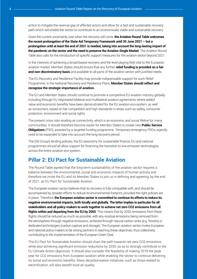action to mitigate the revenue gap of affected actors and allow for a fast and sustainable recovery path which will enable the sector to contribute to an economically viable and sustainable recovery.

Given the current uncertainty over when the recovery will come, **the Aviation Round Table welcomes the recent prolongation of the State Aid Temporary Framework until 30 June 2021 – but a prolongation until at least the end of 2021 is needed, taking into account the long-lasting impact of the pandemic on the sector and the need to preserve the Aviation Single Market**. The Aviation Round Table also calls for the introduction of specific support measures for the aviation sector beyond 2021.

In the interests of achieving a broad-based recovery and the level playing field vital to the European aviation market, Member States should ensure that any further **relief funding is provided on a fair and non-discriminatory basis** and available to all parts of the aviation sector with justified needs.

The EU Recovery and Resilience Facility may provide indispensable support for such Relief Programme. In the National Recovery and Resilience Plans, **Member States should reflect and recognise the strategic importance of aviation.**

The EU and Member States should continue to promote a competitive EU aviation industry globally, including through EU negotiated bilateral and multilateral aviation agreements where added value and economic benefits have been demonstrated for the EU aviation eco-system, as well as consumers, based on fair competition and high standards in areas such as safety, consumer protection, environment and social rights.

The present crisis risks eroding air connectivity, which is an economic and social lifeline for many communities. It should therefore become easier for Member States to create new **Public Service Obligations** (PSO), assisted by a targeted funding programme. Temporary emergency PSOs urgently need to be expanded to take into account the long recovery period.

The EIB Group's lending policies, the EU taxonomy for sustainable finance, EU and national programmes should all allow support for financing the transition to low-emission technologies across the entire aviation eco-system.

### **Pillar 2: EU Pact for Sustainable Aviation**

The Round Table agreed that the long-term sustainability of the aviation sector requires a balance between the environmental, social and economic impacts of human activity and therefore we invite the EU and its Member States to join us in defining and agreeing, by the end of 2021, an EU Pact for Sustainable Aviation.

The European aviation sector believes that its recovery is fully compatible with, and should be accompanied by, broader efforts to reduce its environmental footprint, provided the right policies are in place. Therefore, **the European aviation sector is committed to continue its efforts to reduce its negative environmental impacts, both locally and globally. The latter implies in particular for all stakeholders and all policy-makers to work together to achieve net zero CO2 emissions from all flights within and departing from the EU by 2050**. This means that by 2050, emissions from these flights should be reduced as much as possible, with any residual emissions being removed from the atmosphere through negative emissions, achieved through natural carbon sinks (e.g. forests) or dedicated technologies (carbon capture and storage). The European aviation sector invites European and national policy-makers to be strong partners in reaching these objectives, thus collectively contributing to the implementation of the European Green Deal.

The EU Pact for Sustainable Aviation should chart the path towards net-zero CO2 emissions, while also achieving significant emission reductions by 2030, so as to strongly contribute to the EU Climate Action objectives. It should also consider the feasibility of making 2019 the peak year for CO2 emissions from European aviation while enabling the sector to continue delivering its social and economic benefits. Many decarbonisation initiatives, such as those related to electrification, will also benefit local air quality.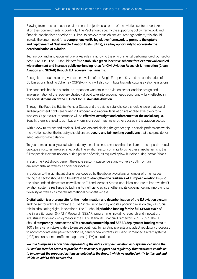Flowing from these and other environmental objectives, all parts of the aviation sector undertake to align their commitments accordingly. The Pact should specify the supporting policy framework and financial mechanisms needed at EU level to achieve these objectives. Amongst others, this should include the urgent need for a **comprehensive EU legislative framework to promote the uptake and deployment of Sustainable Aviation Fuels (SAFs), as a key opportunity to accelerate the decarbonisation of aviation.**

Technology and innovation will play a key role in improving the environmental performance of our sector post-COVID-19. The EU should therefore **establish a green incentive scheme for fleet renewal coupled with retirement and increase public co-funding rates for Civil Aviation Research & Innovation (Clean Aviation and SESAR) through EU recovery mechanisms.**

Recognition should also be given to the revision of the Single European Sky and the continuation of the EU Emissions Trading Scheme / CORSIA, which will also contribute towards cutting aviation emissions.

The pandemic has had a profound impact on workers in the aviation sector, and the design and implementation of the recovery strategy should take into account needs accordingly, fully reflected in **the social dimension of the EU Pact for Sustainable Aviation.**

Through the Pact, the EU, its Member States and the aviation stakeholders should ensure that social and employment rights enshrined in European and national legislation are applied effectively for all workers. Of particular importance will be **effective oversight and enforcement of the social acquis.**  Equally, there is a need to combat any forms of social injustice or other abuses in the aviation sector.

With a view to attract and retain skilled workers and closing the gender gap in certain professions within the aviation sector, the industry should ensure **secure and fair working conditions** that also provide for adequate work-life balance.

To guarantee a socially sustainable industry there is a need to ensure that the bilateral and tripartite social dialogue structures are used effectively. The aviation sector commits to using these mechanisms to the fullest possible extent, not only during periods of crisis, as required by law, but also during 'normal' times.

In sum, the Pact should benefit the entire sector – passengers and workers - both from an environmental as well as a social perspective.

In addition to the significant challenges covered by the above two pillars, a number of other issues facing the sector should also be addressed to **strengthen the resilience of European aviation** beyond the crisis. Indeed, the sector, as well as the EU and Member States, should collaborate to improve the EU aviation system's resilience by tackling its inefficiencies, strengthening its governance and improving its flexibility as well as its overall international competitiveness.

**Digitalisation is a prerequisite for the modernisation and decarbonisation of the EU aviation system** and the sector will fully embrace it. The Single European Sky and its upcoming revision plays a crucial role in stimulating digital innovations. The EU should **prioritise funding for the full SESAR cycle** of the Single European Sky ATM Research (SESAR) programme (including research and innovation, industrialisation and deployment) in the EU Multiannual Financial Framework 2021-2027. The EU should **temporarily increase the ATM research partnership and SESAR deployment funding rates** to 100% for aviation stakeholders to ensure continuity for existing projects and adapt regulatory processes to accommodate disruptive technologies, namely new entrants including unmanned aircraft systems (UAS) and unmanned traffic management (UTM) operations.

*We, the European associations representing the entire European aviation eco-system, call upon the EU and its Member States to provide the necessary support and regulatory frameworks to enable us to implement the proposed actions as detailed in the Report which we drafted jointly to this end and which we add to this Declaration.*